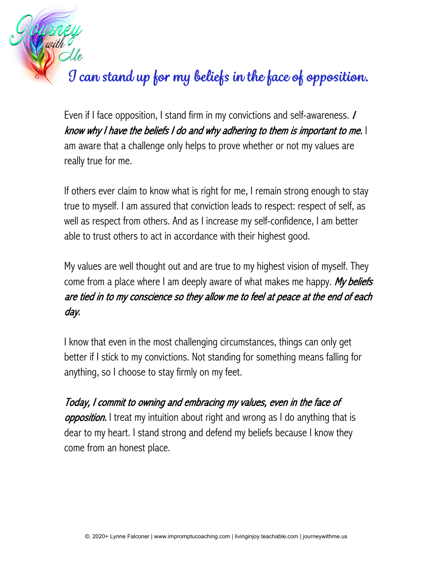## *I can stand up for my beliefs in the face of opposition.*

Even if I face opposition, I stand firm in my convictions and self-awareness. **/** know why I have the beliefs I do and why adhering to them is important to me. I am aware that a challenge only helps to prove whether or not my values are really true for me.

If others ever claim to know what is right for me, I remain strong enough to stay true to myself. I am assured that conviction leads to respect: respect of self, as well as respect from others. And as I increase my self-confidence, I am better able to trust others to act in accordance with their highest good.

My values are well thought out and are true to my highest vision of myself. They come from a place where I am deeply aware of what makes me happy. My beliefs are tied in to my conscience so they allow me to feel at peace at the end of each day.

I know that even in the most challenging circumstances, things can only get better if I stick to my convictions. Not standing for something means falling for anything, so I choose to stay firmly on my feet.

Today, I commit to owning and embracing my values, even in the face of **opposition.** I treat my intuition about right and wrong as I do anything that is dear to my heart. I stand strong and defend my beliefs because I know they come from an honest place.